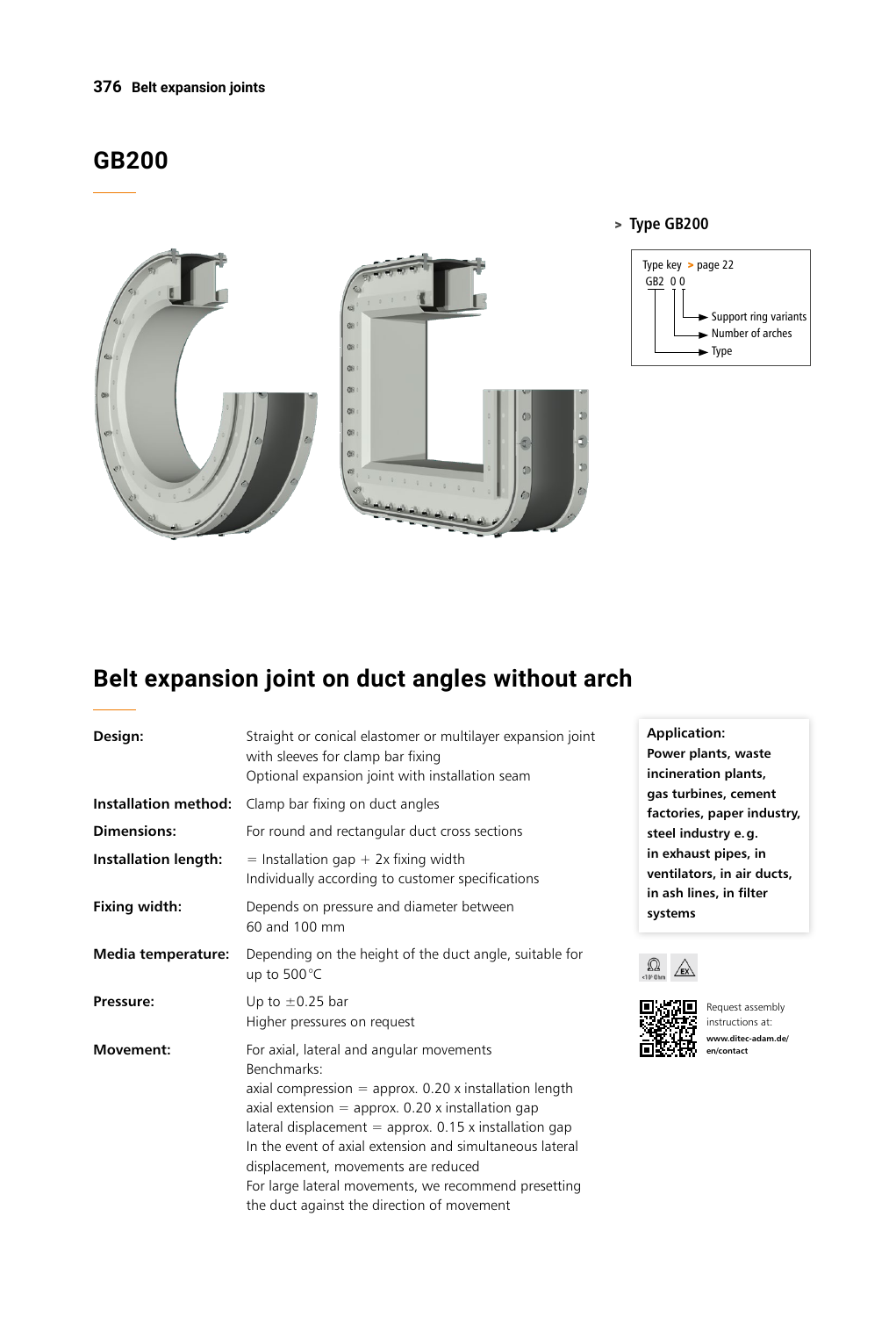#### **376 Belt expansion joints**

# **GB200**



### > **Type GB200**



# **Belt expansion joint on duct angles without arch**

| Design:                     | Straight or conical elastomer or multilayer expansion joint<br>with sleeves for clamp bar fixing<br>Optional expansion joint with installation seam                                                                                                                                                                                                                                                                                             |
|-----------------------------|-------------------------------------------------------------------------------------------------------------------------------------------------------------------------------------------------------------------------------------------------------------------------------------------------------------------------------------------------------------------------------------------------------------------------------------------------|
| Installation method:        | Clamp bar fixing on duct angles                                                                                                                                                                                                                                                                                                                                                                                                                 |
| <b>Dimensions:</b>          | For round and rectangular duct cross sections                                                                                                                                                                                                                                                                                                                                                                                                   |
| <b>Installation length:</b> | $=$ Installation gap + 2x fixing width<br>Individually according to customer specifications                                                                                                                                                                                                                                                                                                                                                     |
| Fixing width:               | Depends on pressure and diameter between<br>60 and 100 mm                                                                                                                                                                                                                                                                                                                                                                                       |
| Media temperature:          | Depending on the height of the duct angle, suitable for<br>up to 500°C                                                                                                                                                                                                                                                                                                                                                                          |
| Pressure:                   | Up to $\pm$ 0.25 bar<br>Higher pressures on request                                                                                                                                                                                                                                                                                                                                                                                             |
| Movement:                   | For axial, lateral and angular movements<br>Benchmarks:<br>axial compression $=$ approx. 0.20 x installation length<br>axial extension $=$ approx. 0.20 x installation gap<br>lateral displacement = approx. $0.15$ x installation gap<br>In the event of axial extension and simultaneous lateral<br>displacement, movements are reduced<br>For large lateral movements, we recommend presetting<br>the duct against the direction of movement |

**Application: Power plants, waste incineration plants, gas turbines, cement factories, paper industry, steel industry e.g. in exhaust pipes, in ventilators, in air ducts, in ash lines, in filter systems**





Request assembly instructions at: **www.ditec-adam.de/ en/contact**